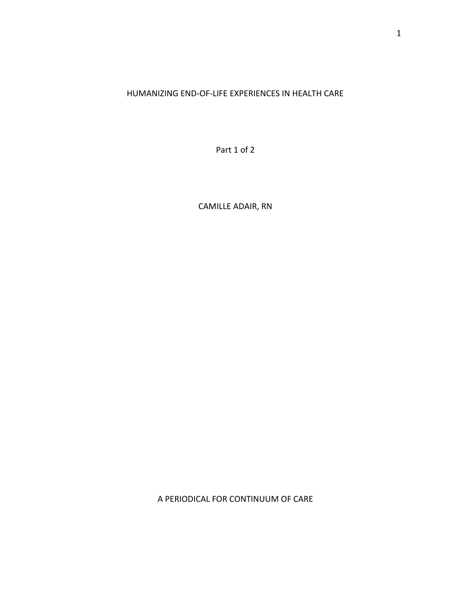# HUMANIZING END-OF-LIFE EXPERIENCES IN HEALTH CARE

Part 1 of 2

CAMILLE ADAIR, RN

A PERIODICAL FOR CONTINUUM OF CARE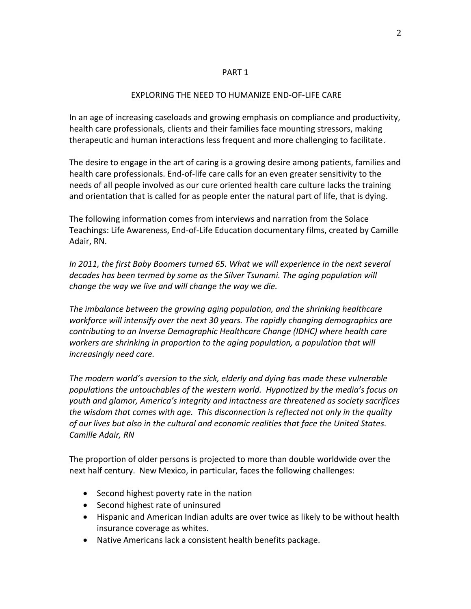#### PART 1

### EXPLORING THE NEED TO HUMANIZE END-OF-LIFE CARE

In an age of increasing caseloads and growing emphasis on compliance and productivity, health care professionals, clients and their families face mounting stressors, making therapeutic and human interactions less frequent and more challenging to facilitate.

The desire to engage in the art of caring is a growing desire among patients, families and health care professionals. End-of-life care calls for an even greater sensitivity to the needs of all people involved as our cure oriented health care culture lacks the training and orientation that is called for as people enter the natural part of life, that is dying.

The following information comes from interviews and narration from the Solace Teachings: Life Awareness, End-of-Life Education documentary films, created by Camille Adair, RN.

In 2011, the first Baby Boomers turned 65. What we will experience in the next several *decades has been termed by some as the Silver Tsunami. The aging population will change the way we live and will change the way we die.* 

*The imbalance between the growing aging population, and the shrinking healthcare workforce will intensify over the next 30 years. The rapidly changing demographics are contributing to an Inverse Demographic Healthcare Change (IDHC) where health care workers are shrinking in proportion to the aging population, a population that will increasingly need care.*

*The modern world's aversion to the sick, elderly and dying has made these vulnerable populations the untouchables of the western world. Hypnotized by the media's focus on youth and glamor, America's integrity and intactness are threatened as society sacrifices the wisdom that comes with age. This disconnection is reflected not only in the quality of our lives but also in the cultural and economic realities that face the United States. Camille Adair, RN*

The proportion of older persons is projected to more than double worldwide over the next half century. New Mexico, in particular, faces the following challenges:

- Second highest poverty rate in the nation
- Second highest rate of uninsured
- Hispanic and American Indian adults are over twice as likely to be without health insurance coverage as whites.
- Native Americans lack a consistent health benefits package.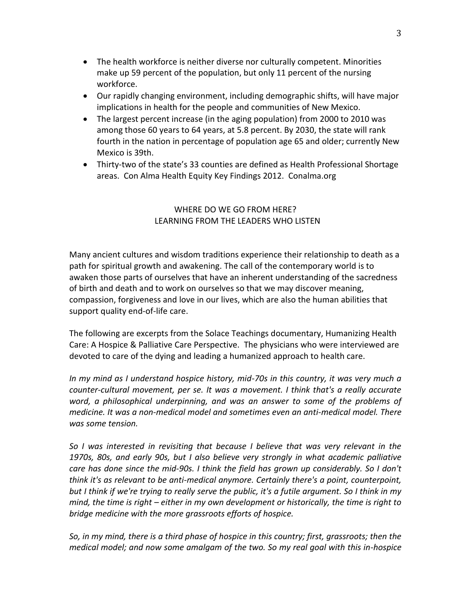- The health workforce is neither diverse nor culturally competent. Minorities make up 59 percent of the population, but only 11 percent of the nursing workforce.
- Our rapidly changing environment, including demographic shifts, will have major implications in health for the people and communities of New Mexico.
- The largest percent increase (in the aging population) from 2000 to 2010 was among those 60 years to 64 years, at 5.8 percent. By 2030, the state will rank fourth in the nation in percentage of population age 65 and older; currently New Mexico is 39th.
- Thirty-two of the state's 33 counties are defined as Health Professional Shortage areas. Con Alma Health Equity Key Findings 2012. Conalma.org

# WHERE DO WE GO FROM HERE? LEARNING FROM THE LEADERS WHO LISTEN

Many ancient cultures and wisdom traditions experience their relationship to death as a path for spiritual growth and awakening. The call of the contemporary world is to awaken those parts of ourselves that have an inherent understanding of the sacredness of birth and death and to work on ourselves so that we may discover meaning, compassion, forgiveness and love in our lives, which are also the human abilities that support quality end-of-life care.

The following are excerpts from the Solace Teachings documentary, Humanizing Health Care: A Hospice & Palliative Care Perspective. The physicians who were interviewed are devoted to care of the dying and leading a humanized approach to health care.

*In my mind as I understand hospice history, mid-70s in this country, it was very much a counter-cultural movement, per se. It was a movement. I think that's a really accurate*  word, a philosophical underpinning, and was an answer to some of the problems of *medicine. It was a non-medical model and sometimes even an anti-medical model. There was some tension.*

*So I was interested in revisiting that because I believe that was very relevant in the 1970s, 80s, and early 90s, but I also believe very strongly in what academic palliative care has done since the mid-90s. I think the field has grown up considerably. So I don't think it's as relevant to be anti-medical anymore. Certainly there's a point, counterpoint, but I think if we're trying to really serve the public, it's a futile argument. So I think in my mind, the time is right – either in my own development or historically, the time is right to bridge medicine with the more grassroots efforts of hospice.*

*So, in my mind, there is a third phase of hospice in this country; first, grassroots; then the medical model; and now some amalgam of the two. So my real goal with this in-hospice*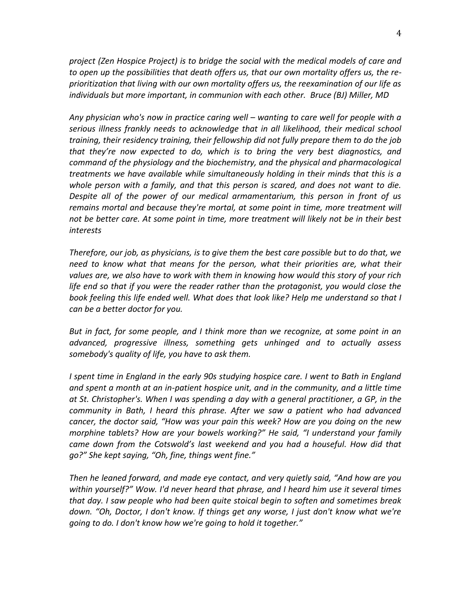*project (Zen Hospice Project) is to bridge the social with the medical models of care and to open up the possibilities that death offers us, that our own mortality offers us, the reprioritization that living with our own mortality offers us, the reexamination of our life as individuals but more important, in communion with each other. Bruce (BJ) Miller, MD*

*Any physician who's now in practice caring well – wanting to care well for people with a serious illness frankly needs to acknowledge that in all likelihood, their medical school training, their residency training, their fellowship did not fully prepare them to do the job that they're now expected to do, which is to bring the very best diagnostics, and command of the physiology and the biochemistry, and the physical and pharmacological treatments we have available while simultaneously holding in their minds that this is a whole person with a family, and that this person is scared, and does not want to die. Despite all of the power of our medical armamentarium, this person in front of us remains mortal and because they're mortal, at some point in time, more treatment will not be better care. At some point in time, more treatment will likely not be in their best interests*

*Therefore, our job, as physicians, is to give them the best care possible but to do that, we need to know what that means for the person, what their priorities are, what their values are, we also have to work with them in knowing how would this story of your rich life end so that if you were the reader rather than the protagonist, you would close the book feeling this life ended well. What does that look like? Help me understand so that I can be a better doctor for you.*

*But in fact, for some people, and I think more than we recognize, at some point in an advanced, progressive illness, something gets unhinged and to actually assess somebody's quality of life, you have to ask them.* 

*I* spent time in England in the early 90s studying hospice care. I went to Bath in England *and spent a month at an in-patient hospice unit, and in the community, and a little time at St. Christopher's. When I was spending a day with a general practitioner, a GP, in the community in Bath, I heard this phrase. After we saw a patient who had advanced cancer, the doctor said, "How was your pain this week? How are you doing on the new morphine tablets? How are your bowels working?" He said, "I understand your family came down from the Cotswold's last weekend and you had a houseful. How did that go?" She kept saying, "Oh, fine, things went fine."* 

*Then he leaned forward, and made eye contact, and very quietly said, "And how are you within yourself?" Wow. I'd never heard that phrase, and I heard him use it several times that day. I saw people who had been quite stoical begin to soften and sometimes break down. "Oh, Doctor, I don't know. If things get any worse, I just don't know what we're going to do. I don't know how we're going to hold it together."*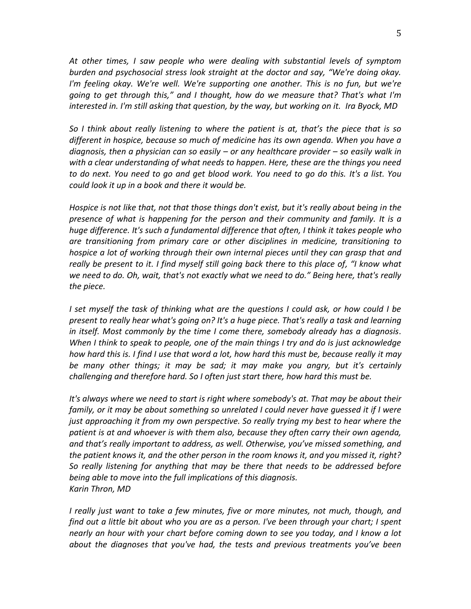*At other times, I saw people who were dealing with substantial levels of symptom burden and psychosocial stress look straight at the doctor and say, "We're doing okay. I'm feeling okay. We're well. We're supporting one another. This is no fun, but we're going to get through this," and I thought, how do we measure that? That's what I'm interested in. I'm still asking that question, by the way, but working on it. Ira Byock, MD*

*So I think about really listening to where the patient is at, that's the piece that is so different in hospice, because so much of medicine has its own agenda. When you have a diagnosis, then a physician can so easily – or any healthcare provider – so easily walk in with a clear understanding of what needs to happen. Here, these are the things you need to do next. You need to go and get blood work. You need to go do this. It's a list. You could look it up in a book and there it would be.* 

*Hospice is not like that, not that those things don't exist, but it's really about being in the presence of what is happening for the person and their community and family. It is a huge difference. It's such a fundamental difference that often, I think it takes people who are transitioning from primary care or other disciplines in medicine, transitioning to hospice a lot of working through their own internal pieces until they can grasp that and really be present to it. I find myself still going back there to this place of, "I know what we need to do. Oh, wait, that's not exactly what we need to do." Being here, that's really the piece.*

*I set myself the task of thinking what are the questions I could ask, or how could I be present to really hear what's going on? It's a huge piece. That's really a task and learning in itself. Most commonly by the time I come there, somebody already has a diagnosis. When I think to speak to people, one of the main things I try and do is just acknowledge how hard this is. I find I use that word a lot, how hard this must be, because really it may be many other things; it may be sad; it may make you angry, but it's certainly challenging and therefore hard. So I often just start there, how hard this must be.* 

*It's always where we need to start is right where somebody's at. That may be about their family, or it may be about something so unrelated I could never have guessed it if I were just approaching it from my own perspective. So really trying my best to hear where the patient is at and whoever is with them also, because they often carry their own agenda, and that's really important to address, as well. Otherwise, you've missed something, and the patient knows it, and the other person in the room knows it, and you missed it, right? So really listening for anything that may be there that needs to be addressed before being able to move into the full implications of this diagnosis. Karin Thron, MD*

*I really just want to take a few minutes, five or more minutes, not much, though, and find out a little bit about who you are as a person. I've been through your chart; I spent nearly an hour with your chart before coming down to see you today, and I know a lot about the diagnoses that you've had, the tests and previous treatments you've been*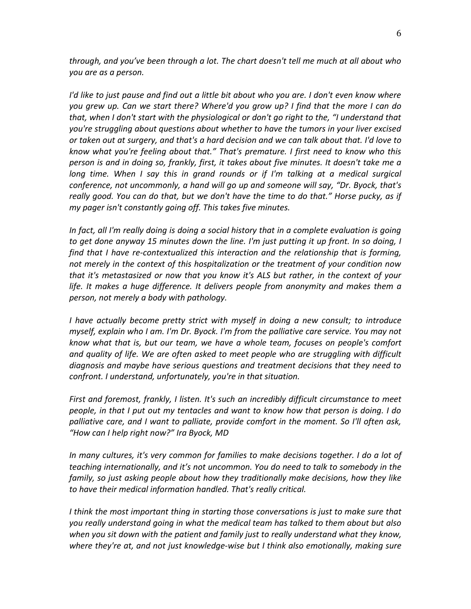*through, and you've been through a lot. The chart doesn't tell me much at all about who you are as a person.*

*I'd like to just pause and find out a little bit about who you are. I don't even know where you grew up. Can we start there? Where'd you grow up? I find that the more I can do that, when I don't start with the physiological or don't go right to the, "I understand that you're struggling about questions about whether to have the tumors in your liver excised or taken out at surgery, and that's a hard decision and we can talk about that. I'd love to know what you're feeling about that." That's premature. I first need to know who this person is and in doing so, frankly, first, it takes about five minutes. It doesn't take me a long time. When I say this in grand rounds or if I'm talking at a medical surgical conference, not uncommonly, a hand will go up and someone will say, "Dr. Byock, that's really good. You can do that, but we don't have the time to do that." Horse pucky, as if my pager isn't constantly going off. This takes five minutes.*

*In fact, all I'm really doing is doing a social history that in a complete evaluation is going to get done anyway 15 minutes down the line. I'm just putting it up front. In so doing, I find that I have re-contextualized this interaction and the relationship that is forming, not merely in the context of this hospitalization or the treatment of your condition now that it's metastasized or now that you know it's ALS but rather, in the context of your life. It makes a huge difference. It delivers people from anonymity and makes them a person, not merely a body with pathology.*

*I have actually become pretty strict with myself in doing a new consult; to introduce myself, explain who I am. I'm Dr. Byock. I'm from the palliative care service. You may not know what that is, but our team, we have a whole team, focuses on people's comfort and quality of life. We are often asked to meet people who are struggling with difficult diagnosis and maybe have serious questions and treatment decisions that they need to confront. I understand, unfortunately, you're in that situation.* 

*First and foremost, frankly, I listen. It's such an incredibly difficult circumstance to meet people, in that I put out my tentacles and want to know how that person is doing. I do palliative care, and I want to palliate, provide comfort in the moment. So I'll often ask, "How can I help right now?" Ira Byock, MD*

*In many cultures, it's very common for families to make decisions together. I do a lot of teaching internationally, and it's not uncommon. You do need to talk to somebody in the family, so just asking people about how they traditionally make decisions, how they like to have their medical information handled. That's really critical.* 

*I think the most important thing in starting those conversations is just to make sure that you really understand going in what the medical team has talked to them about but also*  when you sit down with the patient and family just to really understand what they know, *where they're at, and not just knowledge-wise but I think also emotionally, making sure*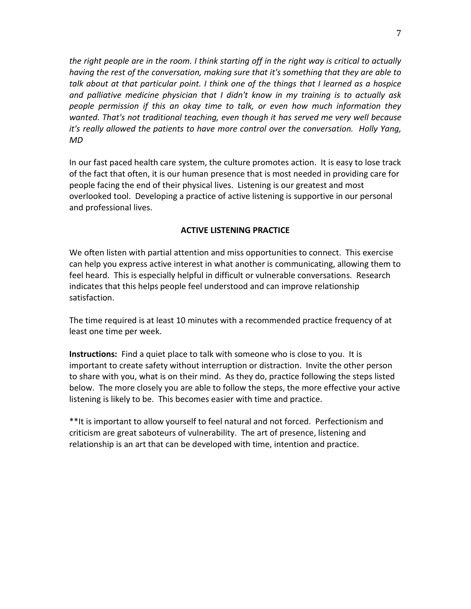*the right people are in the room. I think starting off in the right way is critical to actually having the rest of the conversation, making sure that it's something that they are able to talk about at that particular point. I think one of the things that I learned as a hospice and palliative medicine physician that I didn't know in my training is to actually ask people permission if this an okay time to talk, or even how much information they wanted. That's not traditional teaching, even though it has served me very well because it's really allowed the patients to have more control over the conversation. Holly Yang, MD*

In our fast paced health care system, the culture promotes action. It is easy to lose track of the fact that often, it is our human presence that is most needed in providing care for people facing the end of their physical lives. Listening is our greatest and most overlooked tool. Developing a practice of active listening is supportive in our personal and professional lives.

### **ACTIVE LISTENING PRACTICE**

We often listen with partial attention and miss opportunities to connect. This exercise can help you express active interest in what another is communicating, allowing them to feel heard. This is especially helpful in difficult or vulnerable conversations. Research indicates that this helps people feel understood and can improve relationship satisfaction.

The time required is at least 10 minutes with a recommended practice frequency of at least one time per week.

**Instructions:** Find a quiet place to talk with someone who is close to you. It is important to create safety without interruption or distraction. Invite the other person to share with you, what is on their mind. As they do, practice following the steps listed below. The more closely you are able to follow the steps, the more effective your active listening is likely to be. This becomes easier with time and practice.

\*\*It is important to allow yourself to feel natural and not forced. Perfectionism and criticism are great saboteurs of vulnerability. The art of presence, listening and relationship is an art that can be developed with time, intention and practice.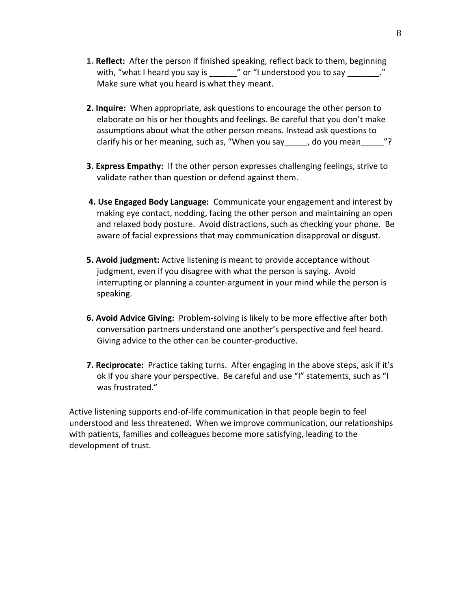- **1. Reflect:** After the person if finished speaking, reflect back to them, beginning with, "what I heard you say is  $\blacksquare$  " or "I understood you to say  $\blacksquare$ " Make sure what you heard is what they meant.
- **2. Inquire:** When appropriate, ask questions to encourage the other person to elaborate on his or her thoughts and feelings. Be careful that you don't make assumptions about what the other person means. Instead ask questions to clarify his or her meaning, such as, "When you say\_\_\_\_, do you mean\_\_\_\_"?
- **3. Express Empathy:** If the other person expresses challenging feelings, strive to validate rather than question or defend against them.
- **4. Use Engaged Body Language:** Communicate your engagement and interest by making eye contact, nodding, facing the other person and maintaining an open and relaxed body posture. Avoid distractions, such as checking your phone. Be aware of facial expressions that may communication disapproval or disgust.
- **5. Avoid judgment:** Active listening is meant to provide acceptance without judgment, even if you disagree with what the person is saying. Avoid interrupting or planning a counter-argument in your mind while the person is speaking.
- **6. Avoid Advice Giving:** Problem-solving is likely to be more effective after both conversation partners understand one another's perspective and feel heard. Giving advice to the other can be counter-productive.
- **7. Reciprocate:** Practice taking turns. After engaging in the above steps, ask if it's ok if you share your perspective. Be careful and use "I" statements, such as "I was frustrated."

Active listening supports end-of-life communication in that people begin to feel understood and less threatened. When we improve communication, our relationships with patients, families and colleagues become more satisfying, leading to the development of trust.